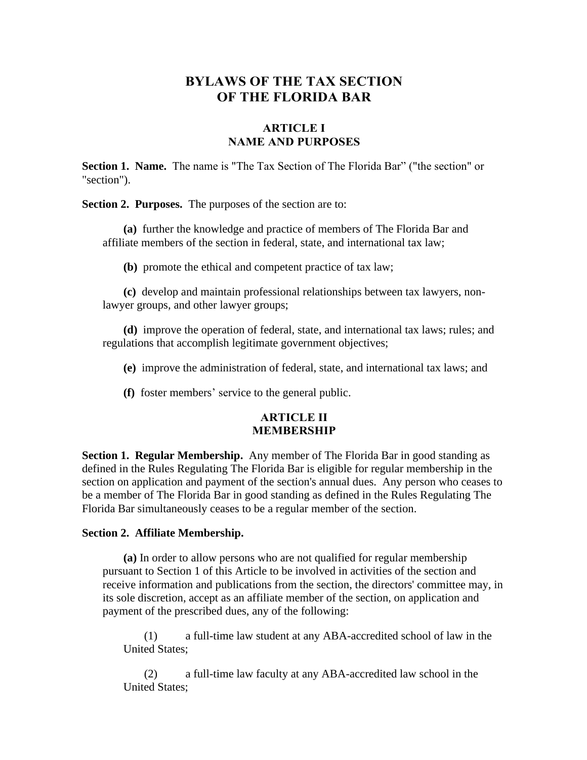# **BYLAWS OF THE TAX SECTION OF THE FLORIDA BAR**

### **ARTICLE I NAME AND PURPOSES**

**Section 1. Name.** The name is "The Tax Section of The Florida Bar" ("the section" or "section").

**Section 2. Purposes.** The purposes of the section are to:

**(a)** further the knowledge and practice of members of The Florida Bar and affiliate members of the section in federal, state, and international tax law;

**(b)** promote the ethical and competent practice of tax law;

**(c)** develop and maintain professional relationships between tax lawyers, nonlawyer groups, and other lawyer groups;

**(d)** improve the operation of federal, state, and international tax laws; rules; and regulations that accomplish legitimate government objectives;

**(e)** improve the administration of federal, state, and international tax laws; and

**(f)** foster members' service to the general public.

### **ARTICLE II MEMBERSHIP**

**Section 1. Regular Membership.** Any member of The Florida Bar in good standing as defined in the Rules Regulating The Florida Bar is eligible for regular membership in the section on application and payment of the section's annual dues. Any person who ceases to be a member of The Florida Bar in good standing as defined in the Rules Regulating The Florida Bar simultaneously ceases to be a regular member of the section.

#### **Section 2. Affiliate Membership.**

**(a)** In order to allow persons who are not qualified for regular membership pursuant to Section 1 of this Article to be involved in activities of the section and receive information and publications from the section, the directors' committee may, in its sole discretion, accept as an affiliate member of the section, on application and payment of the prescribed dues, any of the following:

(1) a full-time law student at any ABA-accredited school of law in the United States;

(2) a full-time law faculty at any ABA-accredited law school in the United States;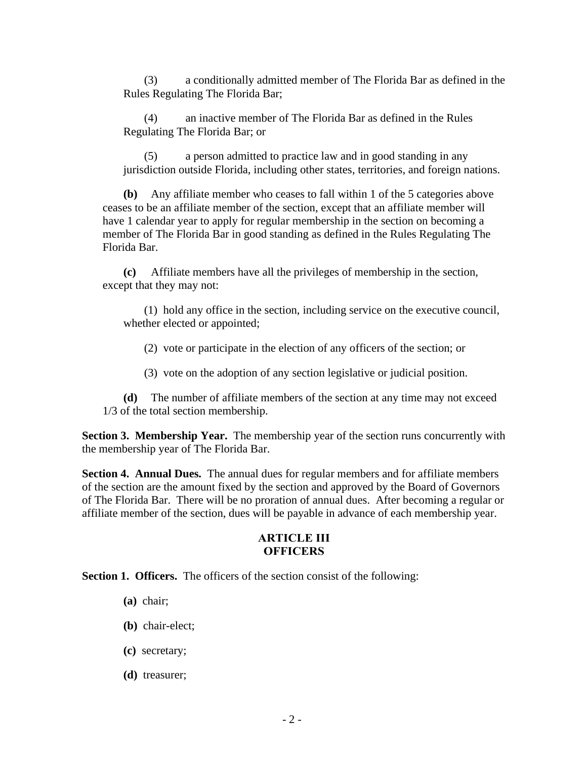(3) a conditionally admitted member of The Florida Bar as defined in the Rules Regulating The Florida Bar;

(4) an inactive member of The Florida Bar as defined in the Rules Regulating The Florida Bar; or

(5) a person admitted to practice law and in good standing in any jurisdiction outside Florida, including other states, territories, and foreign nations.

**(b)** Any affiliate member who ceases to fall within 1 of the 5 categories above ceases to be an affiliate member of the section, except that an affiliate member will have 1 calendar year to apply for regular membership in the section on becoming a member of The Florida Bar in good standing as defined in the Rules Regulating The Florida Bar.

**(c)** Affiliate members have all the privileges of membership in the section, except that they may not:

(1) hold any office in the section, including service on the executive council, whether elected or appointed;

(2) vote or participate in the election of any officers of the section; or

(3) vote on the adoption of any section legislative or judicial position.

**(d)** The number of affiliate members of the section at any time may not exceed 1/3 of the total section membership.

**Section 3. Membership Year.** The membership year of the section runs concurrently with the membership year of The Florida Bar.

**Section 4. Annual Dues.** The annual dues for regular members and for affiliate members of the section are the amount fixed by the section and approved by the Board of Governors of The Florida Bar. There will be no proration of annual dues. After becoming a regular or affiliate member of the section, dues will be payable in advance of each membership year.

### **ARTICLE III OFFICERS**

**Section 1. Officers.** The officers of the section consist of the following:

- **(a)** chair;
- **(b)** chair-elect;
- **(c)** secretary;
- **(d)** treasurer;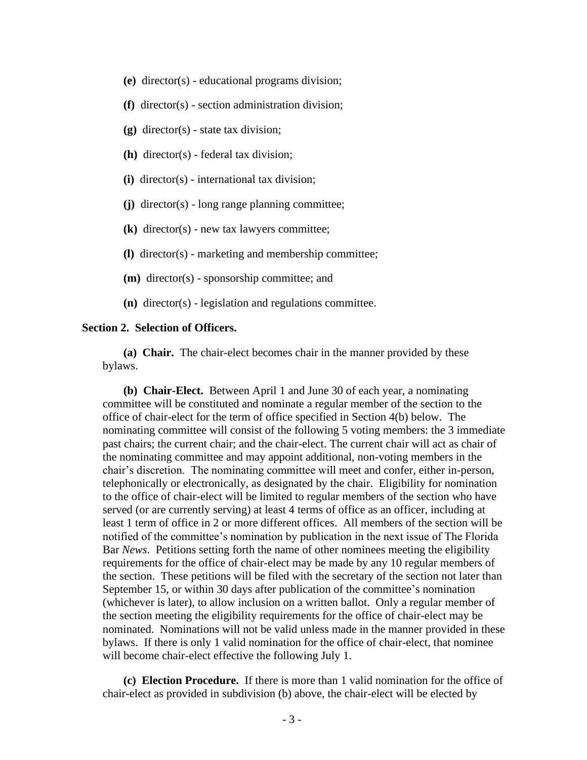- **(e)** director(s) educational programs division;
- **(f)** director(s) section administration division;
- **(g)** director(s) state tax division;
- **(h)** director(s) federal tax division;
- **(i)** director(s) international tax division;
- **(j)** director(s) long range planning committee;
- **(k)** director(s) new tax lawyers committee;
- **(l)** director(s) marketing and membership committee;
- **(m)** director(s) sponsorship committee; and
- **(n)** director(s) legislation and regulations committee.

### **Section 2. Selection of Officers.**

**(a) Chair.** The chair-elect becomes chair in the manner provided by these bylaws.

**(b) Chair-Elect.** Between April 1 and June 30 of each year, a nominating committee will be constituted and nominate a regular member of the section to the office of chair-elect for the term of office specified in Section 4(b) below. The nominating committee will consist of the following 5 voting members: the 3 immediate past chairs; the current chair; and the chair-elect. The current chair will act as chair of the nominating committee and may appoint additional, non-voting members in the chair's discretion. The nominating committee will meet and confer, either in-person, telephonically or electronically, as designated by the chair. Eligibility for nomination to the office of chair-elect will be limited to regular members of the section who have served (or are currently serving) at least 4 terms of office as an officer, including at least 1 term of office in 2 or more different offices. All members of the section will be notified of the committee's nomination by publication in the next issue of The Florida Bar *News*. Petitions setting forth the name of other nominees meeting the eligibility requirements for the office of chair-elect may be made by any 10 regular members of the section. These petitions will be filed with the secretary of the section not later than September 15, or within 30 days after publication of the committee's nomination (whichever is later), to allow inclusion on a written ballot. Only a regular member of the section meeting the eligibility requirements for the office of chair-elect may be nominated. Nominations will not be valid unless made in the manner provided in these bylaws. If there is only 1 valid nomination for the office of chair-elect, that nominee will become chair-elect effective the following July 1.

**(c) Election Procedure.** If there is more than 1 valid nomination for the office of chair-elect as provided in subdivision (b) above, the chair-elect will be elected by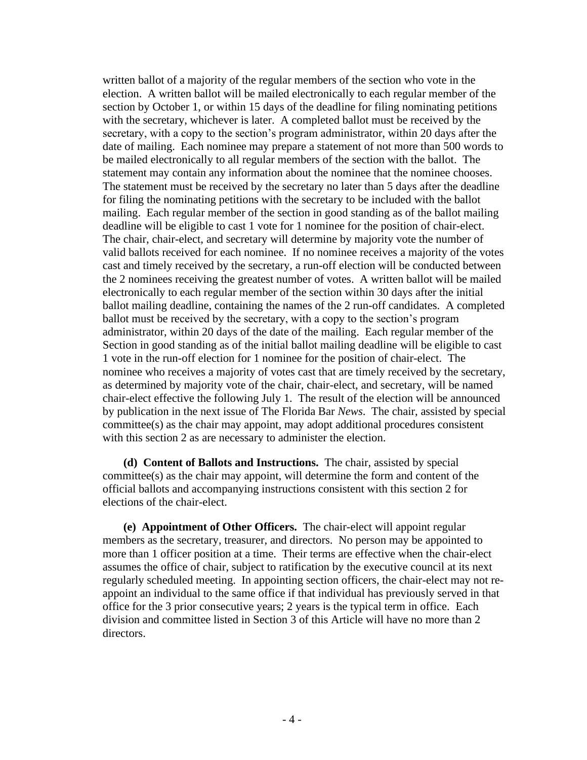written ballot of a majority of the regular members of the section who vote in the election. A written ballot will be mailed electronically to each regular member of the section by October 1, or within 15 days of the deadline for filing nominating petitions with the secretary, whichever is later. A completed ballot must be received by the secretary, with a copy to the section's program administrator, within 20 days after the date of mailing. Each nominee may prepare a statement of not more than 500 words to be mailed electronically to all regular members of the section with the ballot. The statement may contain any information about the nominee that the nominee chooses. The statement must be received by the secretary no later than 5 days after the deadline for filing the nominating petitions with the secretary to be included with the ballot mailing. Each regular member of the section in good standing as of the ballot mailing deadline will be eligible to cast 1 vote for 1 nominee for the position of chair-elect. The chair, chair-elect, and secretary will determine by majority vote the number of valid ballots received for each nominee. If no nominee receives a majority of the votes cast and timely received by the secretary, a run-off election will be conducted between the 2 nominees receiving the greatest number of votes. A written ballot will be mailed electronically to each regular member of the section within 30 days after the initial ballot mailing deadline, containing the names of the 2 run-off candidates. A completed ballot must be received by the secretary, with a copy to the section's program administrator, within 20 days of the date of the mailing. Each regular member of the Section in good standing as of the initial ballot mailing deadline will be eligible to cast 1 vote in the run-off election for 1 nominee for the position of chair-elect. The nominee who receives a majority of votes cast that are timely received by the secretary, as determined by majority vote of the chair, chair-elect, and secretary, will be named chair-elect effective the following July 1. The result of the election will be announced by publication in the next issue of The Florida Bar *News*. The chair, assisted by special committee(s) as the chair may appoint, may adopt additional procedures consistent with this section 2 as are necessary to administer the election.

**(d) Content of Ballots and Instructions.** The chair, assisted by special committee(s) as the chair may appoint, will determine the form and content of the official ballots and accompanying instructions consistent with this section 2 for elections of the chair-elect.

**(e) Appointment of Other Officers.** The chair-elect will appoint regular members as the secretary, treasurer, and directors. No person may be appointed to more than 1 officer position at a time. Their terms are effective when the chair-elect assumes the office of chair, subject to ratification by the executive council at its next regularly scheduled meeting. In appointing section officers, the chair-elect may not reappoint an individual to the same office if that individual has previously served in that office for the 3 prior consecutive years; 2 years is the typical term in office. Each division and committee listed in Section 3 of this Article will have no more than 2 directors.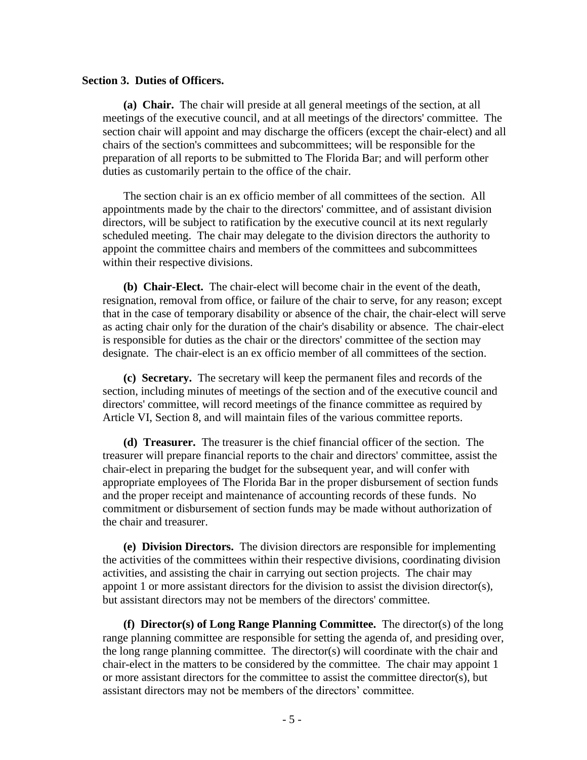#### **Section 3. Duties of Officers.**

**(a) Chair.** The chair will preside at all general meetings of the section, at all meetings of the executive council, and at all meetings of the directors' committee. The section chair will appoint and may discharge the officers (except the chair-elect) and all chairs of the section's committees and subcommittees; will be responsible for the preparation of all reports to be submitted to The Florida Bar; and will perform other duties as customarily pertain to the office of the chair.

The section chair is an ex officio member of all committees of the section. All appointments made by the chair to the directors' committee, and of assistant division directors, will be subject to ratification by the executive council at its next regularly scheduled meeting. The chair may delegate to the division directors the authority to appoint the committee chairs and members of the committees and subcommittees within their respective divisions.

**(b) Chair-Elect.** The chair-elect will become chair in the event of the death, resignation, removal from office, or failure of the chair to serve, for any reason; except that in the case of temporary disability or absence of the chair, the chair-elect will serve as acting chair only for the duration of the chair's disability or absence. The chair-elect is responsible for duties as the chair or the directors' committee of the section may designate. The chair-elect is an ex officio member of all committees of the section.

**(c) Secretary.**The secretary will keep the permanent files and records of the section, including minutes of meetings of the section and of the executive council and directors' committee, will record meetings of the finance committee as required by Article VI, Section 8, and will maintain files of the various committee reports.

**(d) Treasurer.** The treasurer is the chief financial officer of the section. The treasurer will prepare financial reports to the chair and directors' committee, assist the chair-elect in preparing the budget for the subsequent year, and will confer with appropriate employees of The Florida Bar in the proper disbursement of section funds and the proper receipt and maintenance of accounting records of these funds. No commitment or disbursement of section funds may be made without authorization of the chair and treasurer.

**(e) Division Directors.**The division directors are responsible for implementing the activities of the committees within their respective divisions, coordinating division activities, and assisting the chair in carrying out section projects. The chair may appoint 1 or more assistant directors for the division to assist the division director(s), but assistant directors may not be members of the directors' committee.

**(f) Director(s) of Long Range Planning Committee.**The director(s) of the long range planning committee are responsible for setting the agenda of, and presiding over, the long range planning committee. The director(s) will coordinate with the chair and chair-elect in the matters to be considered by the committee. The chair may appoint 1 or more assistant directors for the committee to assist the committee director(s), but assistant directors may not be members of the directors' committee.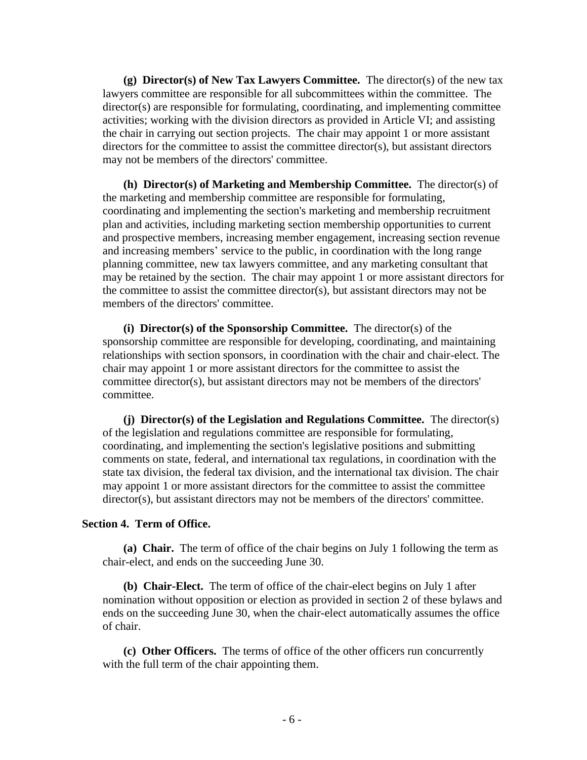**(g) Director(s) of New Tax Lawyers Committee.**The director(s) of the new tax lawyers committee are responsible for all subcommittees within the committee. The director(s) are responsible for formulating, coordinating, and implementing committee activities; working with the division directors as provided in Article VI; and assisting the chair in carrying out section projects. The chair may appoint 1 or more assistant directors for the committee to assist the committee director(s), but assistant directors may not be members of the directors' committee.

**(h) Director(s) of Marketing and Membership Committee.** The director(s) of the marketing and membership committee are responsible for formulating, coordinating and implementing the section's marketing and membership recruitment plan and activities, including marketing section membership opportunities to current and prospective members, increasing member engagement, increasing section revenue and increasing members' service to the public, in coordination with the long range planning committee, new tax lawyers committee, and any marketing consultant that may be retained by the section. The chair may appoint 1 or more assistant directors for the committee to assist the committee director(s), but assistant directors may not be members of the directors' committee.

**(i) Director(s) of the Sponsorship Committee.**The director(s) of the sponsorship committee are responsible for developing, coordinating, and maintaining relationships with section sponsors, in coordination with the chair and chair-elect. The chair may appoint 1 or more assistant directors for the committee to assist the committee director(s), but assistant directors may not be members of the directors' committee.

**(j) Director(s) of the Legislation and Regulations Committee.**The director(s) of the legislation and regulations committee are responsible for formulating, coordinating, and implementing the section's legislative positions and submitting comments on state, federal, and international tax regulations, in coordination with the state tax division, the federal tax division, and the international tax division. The chair may appoint 1 or more assistant directors for the committee to assist the committee director(s), but assistant directors may not be members of the directors' committee.

#### **Section 4. Term of Office.**

**(a) Chair.**The term of office of the chair begins on July 1 following the term as chair-elect, and ends on the succeeding June 30.

**(b) Chair-Elect.** The term of office of the chair-elect begins on July 1 after nomination without opposition or election as provided in section 2 of these bylaws and ends on the succeeding June 30, when the chair-elect automatically assumes the office of chair.

**(c) Other Officers.** The terms of office of the other officers run concurrently with the full term of the chair appointing them.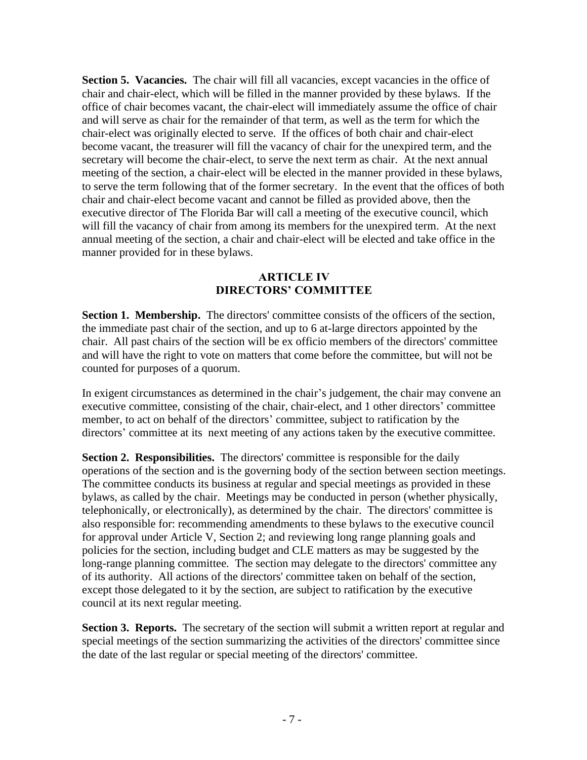**Section 5. Vacancies.** The chair will fill all vacancies, except vacancies in the office of chair and chair-elect, which will be filled in the manner provided by these bylaws. If the office of chair becomes vacant, the chair-elect will immediately assume the office of chair and will serve as chair for the remainder of that term, as well as the term for which the chair-elect was originally elected to serve. If the offices of both chair and chair-elect become vacant, the treasurer will fill the vacancy of chair for the unexpired term, and the secretary will become the chair-elect, to serve the next term as chair. At the next annual meeting of the section, a chair-elect will be elected in the manner provided in these bylaws, to serve the term following that of the former secretary. In the event that the offices of both chair and chair-elect become vacant and cannot be filled as provided above, then the executive director of The Florida Bar will call a meeting of the executive council, which will fill the vacancy of chair from among its members for the unexpired term. At the next annual meeting of the section, a chair and chair-elect will be elected and take office in the manner provided for in these bylaws.

## **ARTICLE IV DIRECTORS' COMMITTEE**

Section 1. Membership. The directors' committee consists of the officers of the section, the immediate past chair of the section, and up to 6 at-large directors appointed by the chair. All past chairs of the section will be ex officio members of the directors' committee and will have the right to vote on matters that come before the committee, but will not be counted for purposes of a quorum.

In exigent circumstances as determined in the chair's judgement, the chair may convene an executive committee, consisting of the chair, chair-elect, and 1 other directors' committee member, to act on behalf of the directors' committee, subject to ratification by the directors' committee at its next meeting of any actions taken by the executive committee.

**Section 2. Responsibilities.** The directors' committee is responsible for the daily operations of the section and is the governing body of the section between section meetings. The committee conducts its business at regular and special meetings as provided in these bylaws, as called by the chair. Meetings may be conducted in person (whether physically, telephonically, or electronically), as determined by the chair. The directors' committee is also responsible for: recommending amendments to these bylaws to the executive council for approval under Article V, Section 2; and reviewing long range planning goals and policies for the section, including budget and CLE matters as may be suggested by the long-range planning committee. The section may delegate to the directors' committee any of its authority. All actions of the directors' committee taken on behalf of the section, except those delegated to it by the section, are subject to ratification by the executive council at its next regular meeting.

**Section 3. Reports.** The secretary of the section will submit a written report at regular and special meetings of the section summarizing the activities of the directors' committee since the date of the last regular or special meeting of the directors' committee.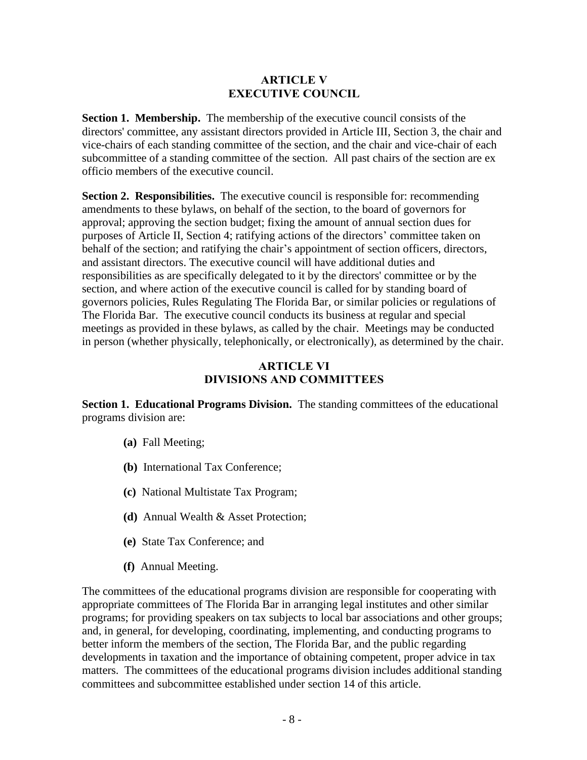## **ARTICLE V EXECUTIVE COUNCIL**

**Section 1. Membership.** The membership of the executive council consists of the directors' committee, any assistant directors provided in Article III, Section 3, the chair and vice-chairs of each standing committee of the section, and the chair and vice-chair of each subcommittee of a standing committee of the section. All past chairs of the section are ex officio members of the executive council.

**Section 2. Responsibilities.** The executive council is responsible for: recommending amendments to these bylaws, on behalf of the section, to the board of governors for approval; approving the section budget; fixing the amount of annual section dues for purposes of Article II, Section 4; ratifying actions of the directors' committee taken on behalf of the section; and ratifying the chair's appointment of section officers, directors, and assistant directors. The executive council will have additional duties and responsibilities as are specifically delegated to it by the directors' committee or by the section, and where action of the executive council is called for by standing board of governors policies, Rules Regulating The Florida Bar, or similar policies or regulations of The Florida Bar. The executive council conducts its business at regular and special meetings as provided in these bylaws, as called by the chair. Meetings may be conducted in person (whether physically, telephonically, or electronically), as determined by the chair.

## **ARTICLE VI DIVISIONS AND COMMITTEES**

**Section 1. Educational Programs Division.** The standing committees of the educational programs division are:

- **(a)** Fall Meeting;
- **(b)** International Tax Conference;
- **(c)** National Multistate Tax Program;
- **(d)** Annual Wealth & Asset Protection;
- **(e)** State Tax Conference; and
- **(f)** Annual Meeting.

The committees of the educational programs division are responsible for cooperating with appropriate committees of The Florida Bar in arranging legal institutes and other similar programs; for providing speakers on tax subjects to local bar associations and other groups; and, in general, for developing, coordinating, implementing, and conducting programs to better inform the members of the section, The Florida Bar, and the public regarding developments in taxation and the importance of obtaining competent, proper advice in tax matters. The committees of the educational programs division includes additional standing committees and subcommittee established under section 14 of this article.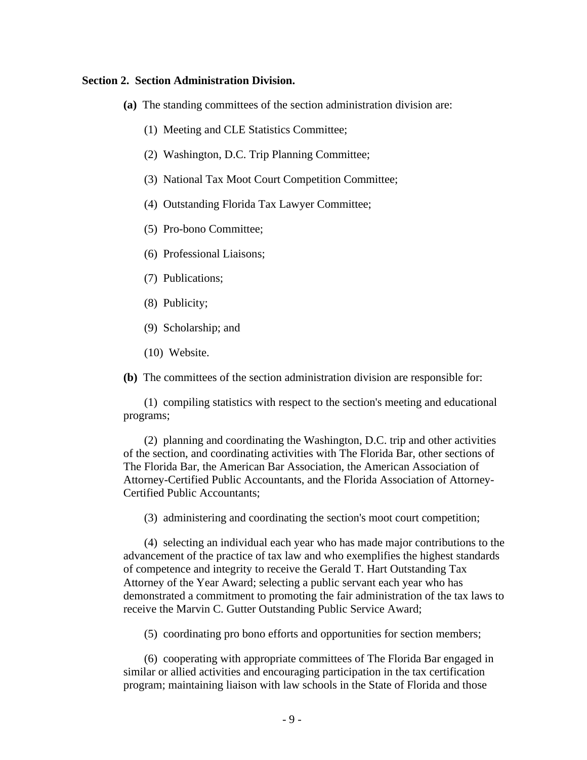#### **Section 2. Section Administration Division.**

- **(a)** The standing committees of the section administration division are:
	- (1) Meeting and CLE Statistics Committee;
	- (2) Washington, D.C. Trip Planning Committee;
	- (3) National Tax Moot Court Competition Committee;
	- (4) Outstanding Florida Tax Lawyer Committee;
	- (5) Pro-bono Committee;
	- (6) Professional Liaisons;
	- (7) Publications;
	- (8) Publicity;
	- (9) Scholarship; and
	- (10) Website.

**(b)** The committees of the section administration division are responsible for:

(1) compiling statistics with respect to the section's meeting and educational programs;

(2) planning and coordinating the Washington, D.C. trip and other activities of the section, and coordinating activities with The Florida Bar, other sections of The Florida Bar, the American Bar Association, the American Association of Attorney-Certified Public Accountants, and the Florida Association of Attorney-Certified Public Accountants;

(3) administering and coordinating the section's moot court competition;

(4) selecting an individual each year who has made major contributions to the advancement of the practice of tax law and who exemplifies the highest standards of competence and integrity to receive the Gerald T. Hart Outstanding Tax Attorney of the Year Award; selecting a public servant each year who has demonstrated a commitment to promoting the fair administration of the tax laws to receive the Marvin C. Gutter Outstanding Public Service Award;

(5) coordinating pro bono efforts and opportunities for section members;

(6) cooperating with appropriate committees of The Florida Bar engaged in similar or allied activities and encouraging participation in the tax certification program; maintaining liaison with law schools in the State of Florida and those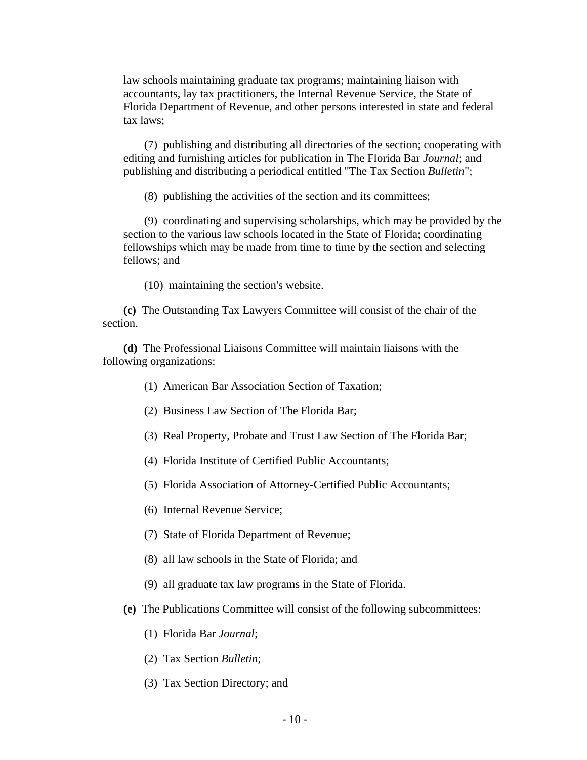law schools maintaining graduate tax programs; maintaining liaison with accountants, lay tax practitioners, the Internal Revenue Service, the State of Florida Department of Revenue, and other persons interested in state and federal tax laws;

(7) publishing and distributing all directories of the section; cooperating with editing and furnishing articles for publication in The Florida Bar *Journal*; and publishing and distributing a periodical entitled "The Tax Section *Bulletin*";

(8) publishing the activities of the section and its committees;

(9) coordinating and supervising scholarships, which may be provided by the section to the various law schools located in the State of Florida; coordinating fellowships which may be made from time to time by the section and selecting fellows; and

(10) maintaining the section's website.

**(c)** The Outstanding Tax Lawyers Committee will consist of the chair of the section.

**(d)** The Professional Liaisons Committee will maintain liaisons with the following organizations:

- (1) American Bar Association Section of Taxation;
- (2) Business Law Section of The Florida Bar;
- (3) Real Property, Probate and Trust Law Section of The Florida Bar;
- (4) Florida Institute of Certified Public Accountants;
- (5) Florida Association of Attorney-Certified Public Accountants;
- (6) Internal Revenue Service;
- (7) State of Florida Department of Revenue;
- (8) all law schools in the State of Florida; and
- (9) all graduate tax law programs in the State of Florida.
- **(e)** The Publications Committee will consist of the following subcommittees:
	- (1) Florida Bar *Journal*;
	- (2) Tax Section *Bulletin*;
	- (3) Tax Section Directory; and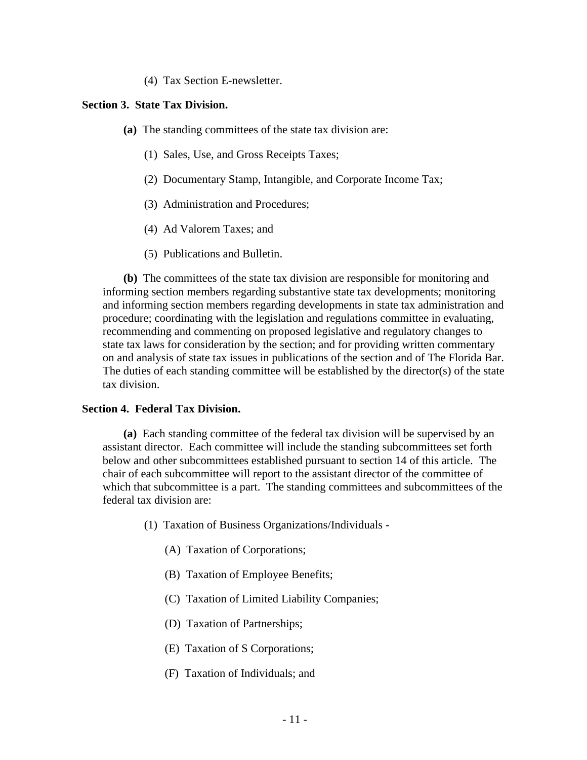(4) Tax Section E-newsletter.

#### **Section 3. State Tax Division.**

**(a)** The standing committees of the state tax division are:

- (1) Sales, Use, and Gross Receipts Taxes;
- (2) Documentary Stamp, Intangible, and Corporate Income Tax;
- (3) Administration and Procedures;
- (4) Ad Valorem Taxes; and
- (5) Publications and Bulletin.

**(b)** The committees of the state tax division are responsible for monitoring and informing section members regarding substantive state tax developments; monitoring and informing section members regarding developments in state tax administration and procedure; coordinating with the legislation and regulations committee in evaluating, recommending and commenting on proposed legislative and regulatory changes to state tax laws for consideration by the section; and for providing written commentary on and analysis of state tax issues in publications of the section and of The Florida Bar. The duties of each standing committee will be established by the director(s) of the state tax division.

#### **Section 4. Federal Tax Division.**

**(a)** Each standing committee of the federal tax division will be supervised by an assistant director. Each committee will include the standing subcommittees set forth below and other subcommittees established pursuant to section 14 of this article. The chair of each subcommittee will report to the assistant director of the committee of which that subcommittee is a part. The standing committees and subcommittees of the federal tax division are:

- (1) Taxation of Business Organizations/Individuals
	- (A) Taxation of Corporations;
	- (B) Taxation of Employee Benefits;
	- (C) Taxation of Limited Liability Companies;
	- (D) Taxation of Partnerships;
	- (E) Taxation of S Corporations;
	- (F) Taxation of Individuals; and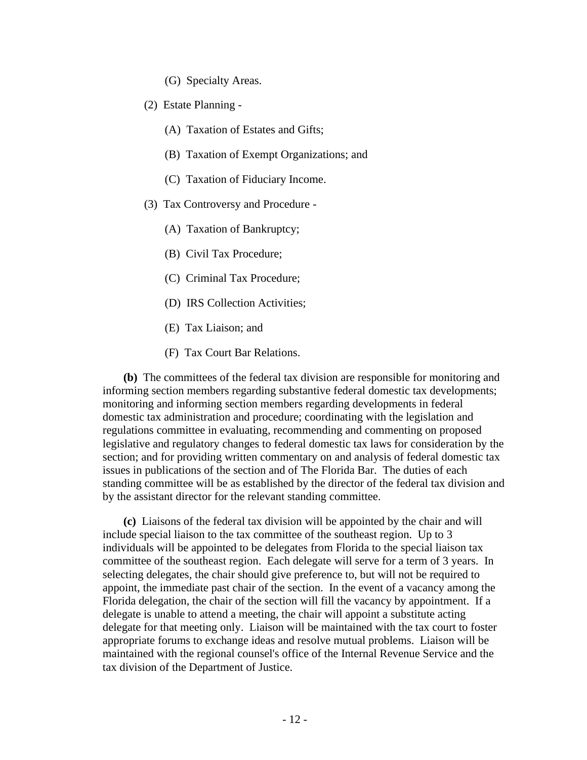(G) Specialty Areas.

- (2) Estate Planning
	- (A) Taxation of Estates and Gifts;
	- (B) Taxation of Exempt Organizations; and
	- (C) Taxation of Fiduciary Income.
- (3) Tax Controversy and Procedure
	- (A) Taxation of Bankruptcy;
	- (B) Civil Tax Procedure;
	- (C) Criminal Tax Procedure;
	- (D) IRS Collection Activities;
	- (E) Tax Liaison; and
	- (F) Tax Court Bar Relations.

**(b)** The committees of the federal tax division are responsible for monitoring and informing section members regarding substantive federal domestic tax developments; monitoring and informing section members regarding developments in federal domestic tax administration and procedure; coordinating with the legislation and regulations committee in evaluating, recommending and commenting on proposed legislative and regulatory changes to federal domestic tax laws for consideration by the section; and for providing written commentary on and analysis of federal domestic tax issues in publications of the section and of The Florida Bar. The duties of each standing committee will be as established by the director of the federal tax division and by the assistant director for the relevant standing committee.

**(c)** Liaisons of the federal tax division will be appointed by the chair and will include special liaison to the tax committee of the southeast region. Up to 3 individuals will be appointed to be delegates from Florida to the special liaison tax committee of the southeast region. Each delegate will serve for a term of 3 years. In selecting delegates, the chair should give preference to, but will not be required to appoint, the immediate past chair of the section. In the event of a vacancy among the Florida delegation, the chair of the section will fill the vacancy by appointment. If a delegate is unable to attend a meeting, the chair will appoint a substitute acting delegate for that meeting only. Liaison will be maintained with the tax court to foster appropriate forums to exchange ideas and resolve mutual problems. Liaison will be maintained with the regional counsel's office of the Internal Revenue Service and the tax division of the Department of Justice.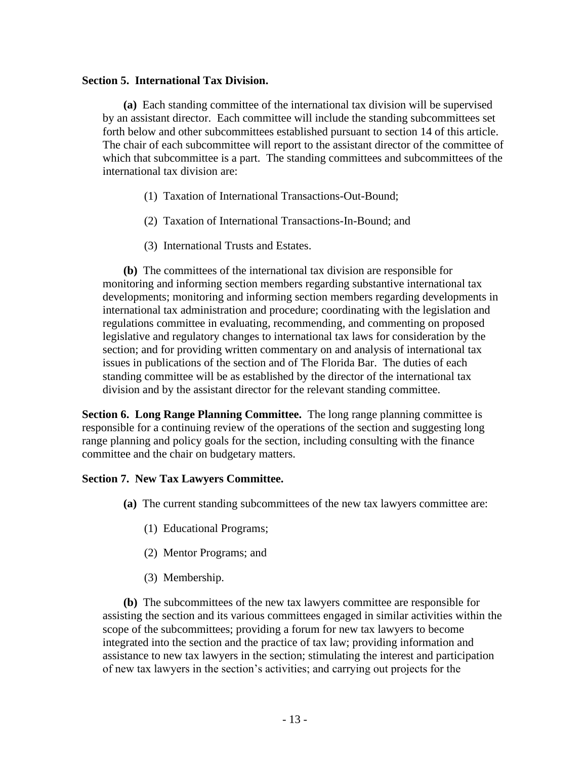### **Section 5. International Tax Division.**

**(a)** Each standing committee of the international tax division will be supervised by an assistant director. Each committee will include the standing subcommittees set forth below and other subcommittees established pursuant to section 14 of this article. The chair of each subcommittee will report to the assistant director of the committee of which that subcommittee is a part. The standing committees and subcommittees of the international tax division are:

- (1) Taxation of International Transactions-Out-Bound;
- (2) Taxation of International Transactions-In-Bound; and
- (3) International Trusts and Estates.

**(b)** The committees of the international tax division are responsible for monitoring and informing section members regarding substantive international tax developments; monitoring and informing section members regarding developments in international tax administration and procedure; coordinating with the legislation and regulations committee in evaluating, recommending, and commenting on proposed legislative and regulatory changes to international tax laws for consideration by the section; and for providing written commentary on and analysis of international tax issues in publications of the section and of The Florida Bar. The duties of each standing committee will be as established by the director of the international tax division and by the assistant director for the relevant standing committee.

**Section 6. Long Range Planning Committee.** The long range planning committee is responsible for a continuing review of the operations of the section and suggesting long range planning and policy goals for the section, including consulting with the finance committee and the chair on budgetary matters.

### **Section 7. New Tax Lawyers Committee.**

- **(a)** The current standing subcommittees of the new tax lawyers committee are:
	- (1) Educational Programs;
	- (2) Mentor Programs; and
	- (3) Membership.

**(b)** The subcommittees of the new tax lawyers committee are responsible for assisting the section and its various committees engaged in similar activities within the scope of the subcommittees; providing a forum for new tax lawyers to become integrated into the section and the practice of tax law; providing information and assistance to new tax lawyers in the section; stimulating the interest and participation of new tax lawyers in the section's activities; and carrying out projects for the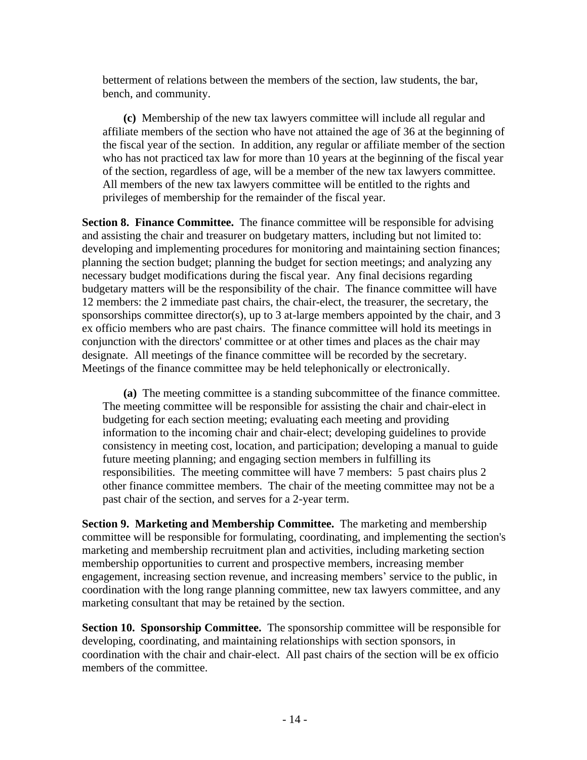betterment of relations between the members of the section, law students, the bar, bench, and community.

**(c)** Membership of the new tax lawyers committee will include all regular and affiliate members of the section who have not attained the age of 36 at the beginning of the fiscal year of the section. In addition, any regular or affiliate member of the section who has not practiced tax law for more than 10 years at the beginning of the fiscal year of the section, regardless of age, will be a member of the new tax lawyers committee. All members of the new tax lawyers committee will be entitled to the rights and privileges of membership for the remainder of the fiscal year.

**Section 8. Finance Committee.** The finance committee will be responsible for advising and assisting the chair and treasurer on budgetary matters, including but not limited to: developing and implementing procedures for monitoring and maintaining section finances; planning the section budget; planning the budget for section meetings; and analyzing any necessary budget modifications during the fiscal year. Any final decisions regarding budgetary matters will be the responsibility of the chair. The finance committee will have 12 members: the 2 immediate past chairs, the chair-elect, the treasurer, the secretary, the sponsorships committee director(s), up to 3 at-large members appointed by the chair, and 3 ex officio members who are past chairs. The finance committee will hold its meetings in conjunction with the directors' committee or at other times and places as the chair may designate. All meetings of the finance committee will be recorded by the secretary. Meetings of the finance committee may be held telephonically or electronically.

**(a)** The meeting committee is a standing subcommittee of the finance committee. The meeting committee will be responsible for assisting the chair and chair-elect in budgeting for each section meeting; evaluating each meeting and providing information to the incoming chair and chair-elect; developing guidelines to provide consistency in meeting cost, location, and participation; developing a manual to guide future meeting planning; and engaging section members in fulfilling its responsibilities. The meeting committee will have 7 members: 5 past chairs plus 2 other finance committee members. The chair of the meeting committee may not be a past chair of the section, and serves for a 2-year term.

**Section 9. Marketing and Membership Committee.** The marketing and membership committee will be responsible for formulating, coordinating, and implementing the section's marketing and membership recruitment plan and activities, including marketing section membership opportunities to current and prospective members, increasing member engagement, increasing section revenue, and increasing members' service to the public, in coordination with the long range planning committee, new tax lawyers committee, and any marketing consultant that may be retained by the section.

**Section 10. Sponsorship Committee.** The sponsorship committee will be responsible for developing, coordinating, and maintaining relationships with section sponsors, in coordination with the chair and chair-elect. All past chairs of the section will be ex officio members of the committee.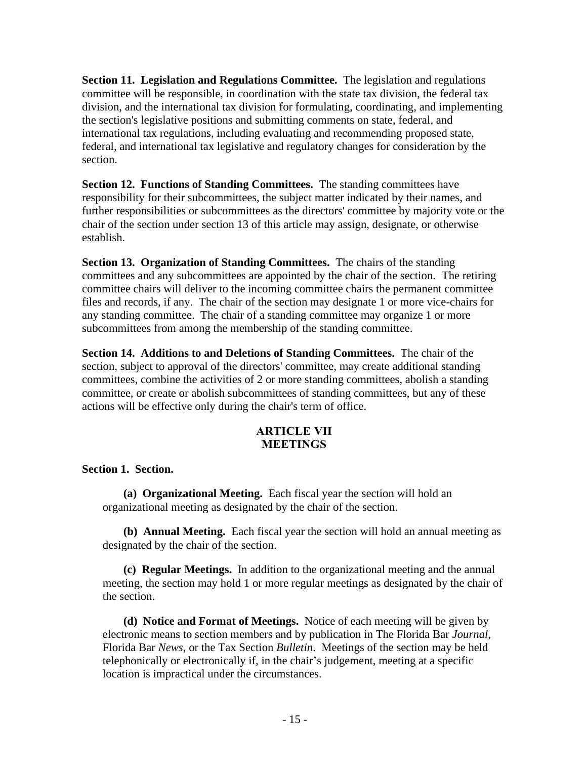**Section 11. Legislation and Regulations Committee.** The legislation and regulations committee will be responsible, in coordination with the state tax division, the federal tax division, and the international tax division for formulating, coordinating, and implementing the section's legislative positions and submitting comments on state, federal, and international tax regulations, including evaluating and recommending proposed state, federal, and international tax legislative and regulatory changes for consideration by the section.

**Section 12. Functions of Standing Committees.** The standing committees have responsibility for their subcommittees, the subject matter indicated by their names, and further responsibilities or subcommittees as the directors' committee by majority vote or the chair of the section under section 13 of this article may assign, designate, or otherwise establish.

**Section 13. Organization of Standing Committees.** The chairs of the standing committees and any subcommittees are appointed by the chair of the section. The retiring committee chairs will deliver to the incoming committee chairs the permanent committee files and records, if any. The chair of the section may designate 1 or more vice-chairs for any standing committee. The chair of a standing committee may organize 1 or more subcommittees from among the membership of the standing committee.

**Section 14. Additions to and Deletions of Standing Committees.** The chair of the section, subject to approval of the directors' committee, may create additional standing committees, combine the activities of 2 or more standing committees, abolish a standing committee, or create or abolish subcommittees of standing committees, but any of these actions will be effective only during the chair's term of office.

### **ARTICLE VII MEETINGS**

## **Section 1. Section.**

**(a) Organizational Meeting.**Each fiscal year the section will hold an organizational meeting as designated by the chair of the section.

**(b) Annual Meeting.** Each fiscal year the section will hold an annual meeting as designated by the chair of the section.

**(c) Regular Meetings.** In addition to the organizational meeting and the annual meeting, the section may hold 1 or more regular meetings as designated by the chair of the section.

**(d) Notice and Format of Meetings.** Notice of each meeting will be given by electronic means to section members and by publication in The Florida Bar *Journal*, Florida Bar *News*, or the Tax Section *Bulletin*. Meetings of the section may be held telephonically or electronically if, in the chair's judgement, meeting at a specific location is impractical under the circumstances.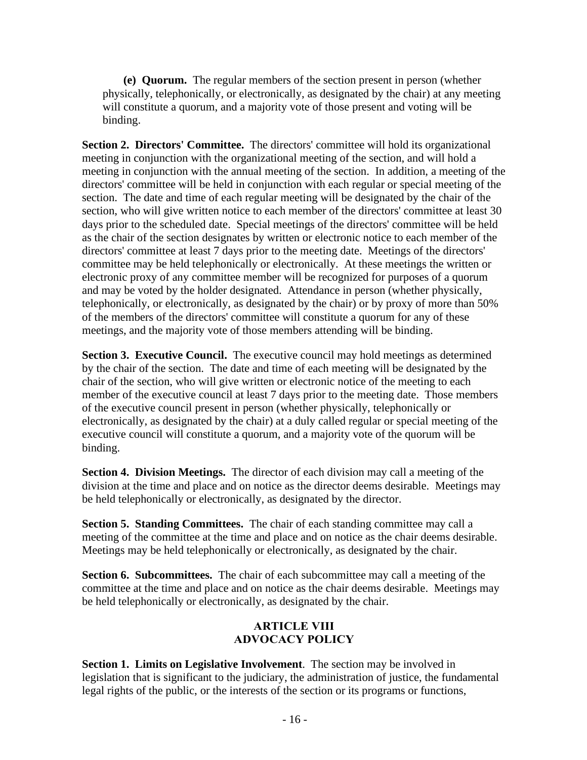**(e) Quorum.** The regular members of the section present in person (whether physically, telephonically, or electronically, as designated by the chair) at any meeting will constitute a quorum, and a majority vote of those present and voting will be binding.

**Section 2. Directors' Committee.** The directors' committee will hold its organizational meeting in conjunction with the organizational meeting of the section, and will hold a meeting in conjunction with the annual meeting of the section. In addition, a meeting of the directors' committee will be held in conjunction with each regular or special meeting of the section. The date and time of each regular meeting will be designated by the chair of the section, who will give written notice to each member of the directors' committee at least 30 days prior to the scheduled date. Special meetings of the directors' committee will be held as the chair of the section designates by written or electronic notice to each member of the directors' committee at least 7 days prior to the meeting date. Meetings of the directors' committee may be held telephonically or electronically. At these meetings the written or electronic proxy of any committee member will be recognized for purposes of a quorum and may be voted by the holder designated. Attendance in person (whether physically, telephonically, or electronically, as designated by the chair) or by proxy of more than 50% of the members of the directors' committee will constitute a quorum for any of these meetings, and the majority vote of those members attending will be binding.

**Section 3. Executive Council.** The executive council may hold meetings as determined by the chair of the section. The date and time of each meeting will be designated by the chair of the section, who will give written or electronic notice of the meeting to each member of the executive council at least 7 days prior to the meeting date. Those members of the executive council present in person (whether physically, telephonically or electronically, as designated by the chair) at a duly called regular or special meeting of the executive council will constitute a quorum, and a majority vote of the quorum will be binding.

**Section 4. Division Meetings.** The director of each division may call a meeting of the division at the time and place and on notice as the director deems desirable. Meetings may be held telephonically or electronically, as designated by the director.

**Section 5. Standing Committees.** The chair of each standing committee may call a meeting of the committee at the time and place and on notice as the chair deems desirable. Meetings may be held telephonically or electronically, as designated by the chair.

**Section 6. Subcommittees.** The chair of each subcommittee may call a meeting of the committee at the time and place and on notice as the chair deems desirable. Meetings may be held telephonically or electronically, as designated by the chair.

## **ARTICLE VIII ADVOCACY POLICY**

**Section 1. Limits on Legislative Involvement**. The section may be involved in legislation that is significant to the judiciary, the administration of justice, the fundamental legal rights of the public, or the interests of the section or its programs or functions,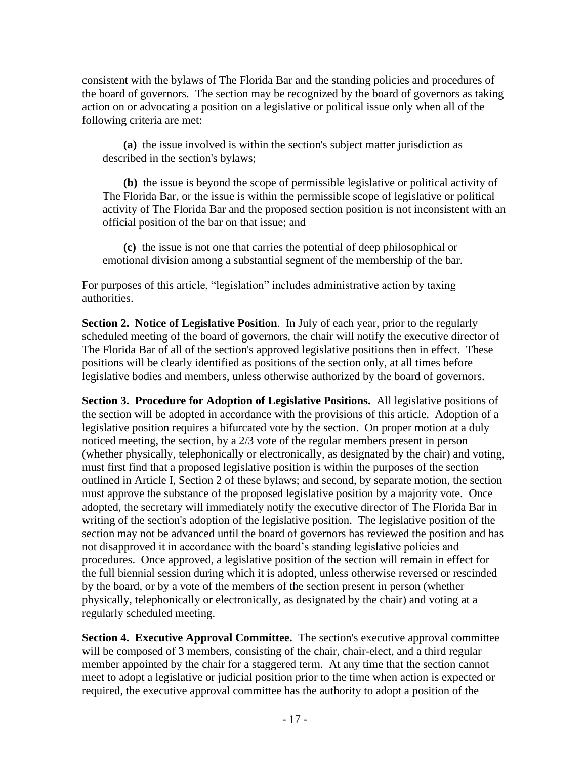consistent with the bylaws of The Florida Bar and the standing policies and procedures of the board of governors. The section may be recognized by the board of governors as taking action on or advocating a position on a legislative or political issue only when all of the following criteria are met:

**(a)** the issue involved is within the section's subject matter jurisdiction as described in the section's bylaws;

**(b)** the issue is beyond the scope of permissible legislative or political activity of The Florida Bar, or the issue is within the permissible scope of legislative or political activity of The Florida Bar and the proposed section position is not inconsistent with an official position of the bar on that issue; and

**(c)** the issue is not one that carries the potential of deep philosophical or emotional division among a substantial segment of the membership of the bar.

For purposes of this article, "legislation" includes administrative action by taxing authorities.

**Section 2. Notice of Legislative Position**. In July of each year, prior to the regularly scheduled meeting of the board of governors, the chair will notify the executive director of The Florida Bar of all of the section's approved legislative positions then in effect. These positions will be clearly identified as positions of the section only, at all times before legislative bodies and members, unless otherwise authorized by the board of governors.

**Section 3. Procedure for Adoption of Legislative Positions.** All legislative positions of the section will be adopted in accordance with the provisions of this article. Adoption of a legislative position requires a bifurcated vote by the section. On proper motion at a duly noticed meeting, the section, by a 2/3 vote of the regular members present in person (whether physically, telephonically or electronically, as designated by the chair) and voting, must first find that a proposed legislative position is within the purposes of the section outlined in Article I, Section 2 of these bylaws; and second, by separate motion, the section must approve the substance of the proposed legislative position by a majority vote. Once adopted, the secretary will immediately notify the executive director of The Florida Bar in writing of the section's adoption of the legislative position. The legislative position of the section may not be advanced until the board of governors has reviewed the position and has not disapproved it in accordance with the board's standing legislative policies and procedures. Once approved, a legislative position of the section will remain in effect for the full biennial session during which it is adopted, unless otherwise reversed or rescinded by the board, or by a vote of the members of the section present in person (whether physically, telephonically or electronically, as designated by the chair) and voting at a regularly scheduled meeting.

**Section 4. Executive Approval Committee.** The section's executive approval committee will be composed of 3 members, consisting of the chair, chair-elect, and a third regular member appointed by the chair for a staggered term. At any time that the section cannot meet to adopt a legislative or judicial position prior to the time when action is expected or required, the executive approval committee has the authority to adopt a position of the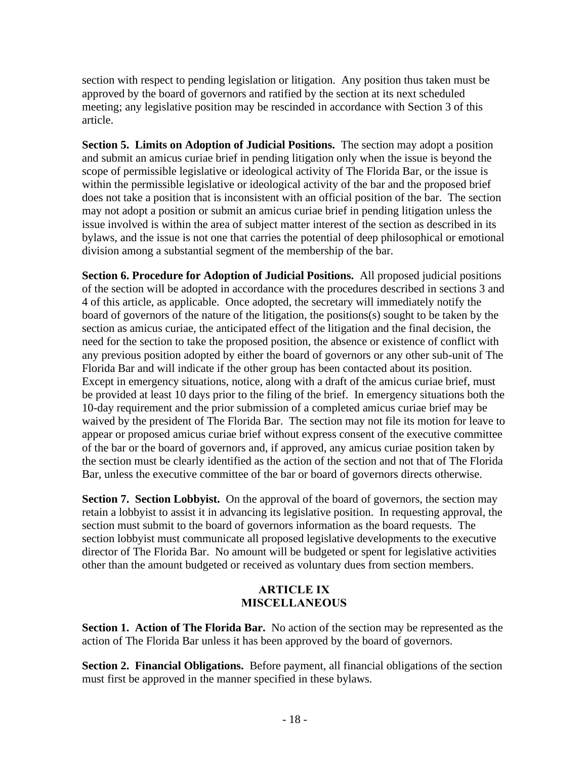section with respect to pending legislation or litigation. Any position thus taken must be approved by the board of governors and ratified by the section at its next scheduled meeting; any legislative position may be rescinded in accordance with Section 3 of this article.

**Section 5. Limits on Adoption of Judicial Positions.** The section may adopt a position and submit an amicus curiae brief in pending litigation only when the issue is beyond the scope of permissible legislative or ideological activity of The Florida Bar, or the issue is within the permissible legislative or ideological activity of the bar and the proposed brief does not take a position that is inconsistent with an official position of the bar. The section may not adopt a position or submit an amicus curiae brief in pending litigation unless the issue involved is within the area of subject matter interest of the section as described in its bylaws, and the issue is not one that carries the potential of deep philosophical or emotional division among a substantial segment of the membership of the bar.

**Section 6. Procedure for Adoption of Judicial Positions.** All proposed judicial positions of the section will be adopted in accordance with the procedures described in sections 3 and 4 of this article, as applicable. Once adopted, the secretary will immediately notify the board of governors of the nature of the litigation, the positions(s) sought to be taken by the section as amicus curiae, the anticipated effect of the litigation and the final decision, the need for the section to take the proposed position, the absence or existence of conflict with any previous position adopted by either the board of governors or any other sub-unit of The Florida Bar and will indicate if the other group has been contacted about its position. Except in emergency situations, notice, along with a draft of the amicus curiae brief, must be provided at least 10 days prior to the filing of the brief. In emergency situations both the 10-day requirement and the prior submission of a completed amicus curiae brief may be waived by the president of The Florida Bar. The section may not file its motion for leave to appear or proposed amicus curiae brief without express consent of the executive committee of the bar or the board of governors and, if approved, any amicus curiae position taken by the section must be clearly identified as the action of the section and not that of The Florida Bar, unless the executive committee of the bar or board of governors directs otherwise.

**Section 7. Section Lobbyist.** On the approval of the board of governors, the section may retain a lobbyist to assist it in advancing its legislative position. In requesting approval, the section must submit to the board of governors information as the board requests. The section lobbyist must communicate all proposed legislative developments to the executive director of The Florida Bar. No amount will be budgeted or spent for legislative activities other than the amount budgeted or received as voluntary dues from section members.

## **ARTICLE IX MISCELLANEOUS**

**Section 1. Action of The Florida Bar.** No action of the section may be represented as the action of The Florida Bar unless it has been approved by the board of governors.

**Section 2. Financial Obligations.** Before payment, all financial obligations of the section must first be approved in the manner specified in these bylaws.